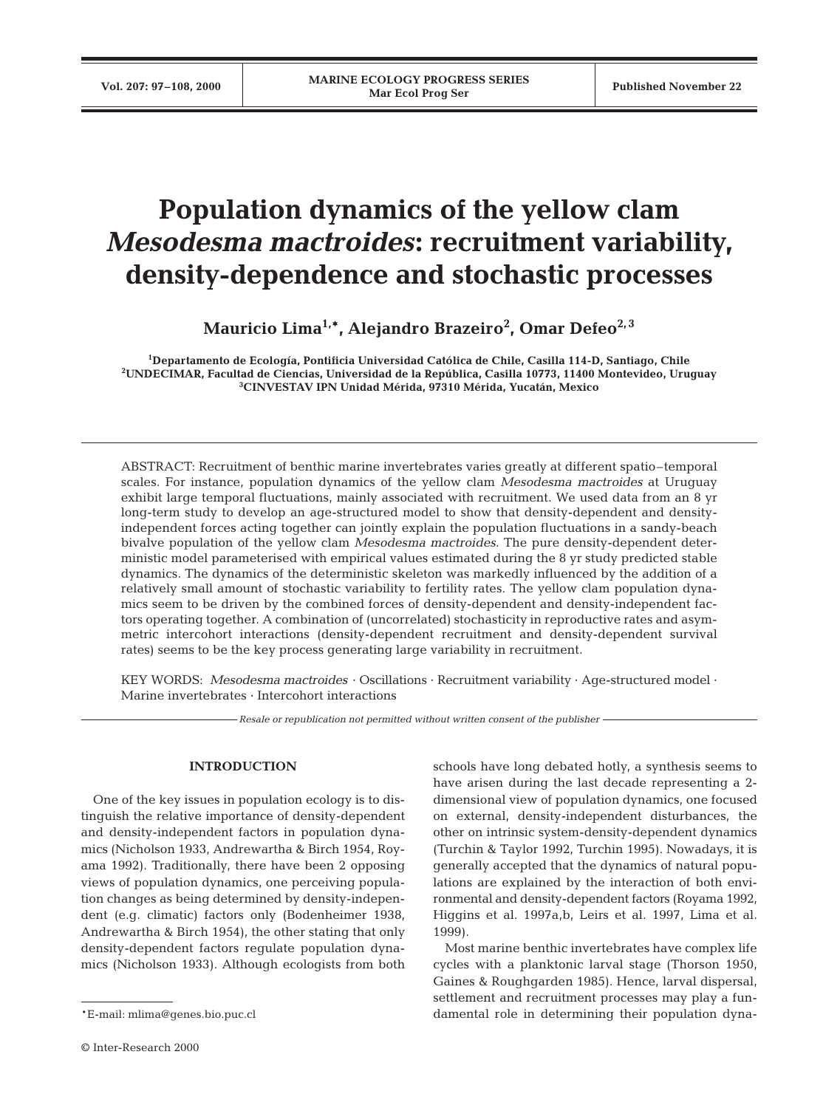# **Population dynamics of the yellow clam** *Mesodesma mactroides***: recruitment variability, density-dependence and stochastic processes**

**Mauricio Lima1,\*, Alejandro Brazeiro2 , Omar Defeo2, 3**

**1 Departamento de Ecología, Pontificia Universidad Católica de Chile, Casilla 114-D, Santiago, Chile 2 UNDECIMAR, Facultad de Ciencias, Universidad de la República, Casilla 10773, 11400 Montevideo, Uruguay 3 CINVESTAV IPN Unidad Mérida, 97310 Mérida, Yucatán, Mexico**

ABSTRACT: Recruitment of benthic marine invertebrates varies greatly at different spatio–temporal scales. For instance, population dynamics of the yellow clam *Mesodesma mactroides* at Uruguay exhibit large temporal fluctuations, mainly associated with recruitment. We used data from an 8 yr long-term study to develop an age-structured model to show that density-dependent and densityindependent forces acting together can jointly explain the population fluctuations in a sandy-beach bivalve population of the yellow clam *Mesodesma mactroides.* The pure density-dependent deterministic model parameterised with empirical values estimated during the 8 yr study predicted stable dynamics. The dynamics of the deterministic skeleton was markedly influenced by the addition of a relatively small amount of stochastic variability to fertility rates. The yellow clam population dynamics seem to be driven by the combined forces of density-dependent and density-independent factors operating together. A combination of (uncorrelated) stochasticity in reproductive rates and asymmetric intercohort interactions (density-dependent recruitment and density-dependent survival rates) seems to be the key process generating large variability in recruitment.

KEY WORDS: *Mesodesma mactroides* · Oscillations · Recruitment variability · Age-structured model · Marine invertebrates · Intercohort interactions

*Resale or republication not permitted without written consent of the publisher*

### **INTRODUCTION**

One of the key issues in population ecology is to distinguish the relative importance of density-dependent and density-independent factors in population dynamics (Nicholson 1933, Andrewartha & Birch 1954, Royama 1992). Traditionally, there have been 2 opposing views of population dynamics, one perceiving population changes as being determined by density-independent (e.g. climatic) factors only (Bodenheimer 1938, Andrewartha & Birch 1954), the other stating that only density-dependent factors regulate population dynamics (Nicholson 1933). Although ecologists from both

schools have long debated hotly, a synthesis seems to have arisen during the last decade representing a 2 dimensional view of population dynamics, one focused on external, density-independent disturbances, the other on intrinsic system-density-dependent dynamics (Turchin & Taylor 1992, Turchin 1995). Nowadays, it is generally accepted that the dynamics of natural populations are explained by the interaction of both environmental and density-dependent factors (Royama 1992, Higgins et al. 1997a,b, Leirs et al. 1997, Lima et al. 1999).

Most marine benthic invertebrates have complex life cycles with a planktonic larval stage (Thorson 1950, Gaines & Roughgarden 1985). Hence, larval dispersal, settlement and recruitment processes may play a fundamental role in determining their population dyna-

<sup>\*</sup>E-mail: mlima@genes.bio.puc.cl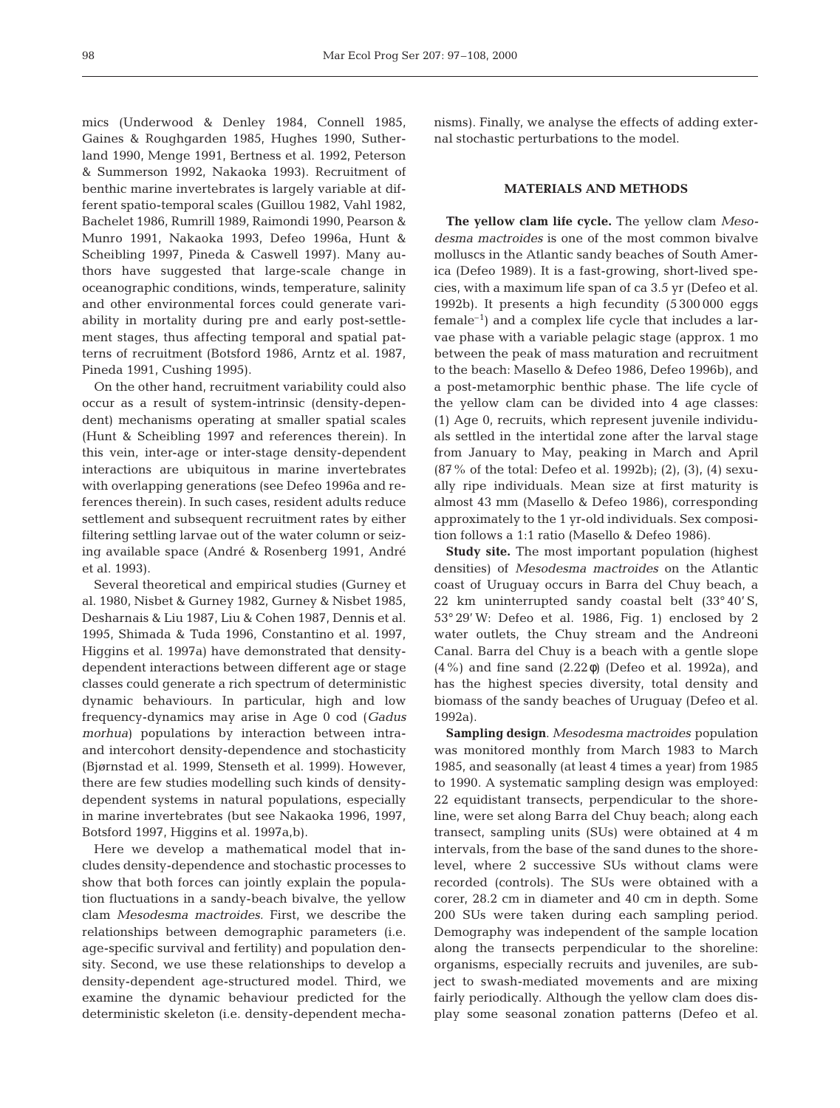mics (Underwood & Denley 1984, Connell 1985, Gaines & Roughgarden 1985, Hughes 1990, Sutherland 1990, Menge 1991, Bertness et al. 1992, Peterson & Summerson 1992, Nakaoka 1993). Recruitment of benthic marine invertebrates is largely variable at different spatio-temporal scales (Guillou 1982, Vahl 1982, Bachelet 1986, Rumrill 1989, Raimondi 1990, Pearson & Munro 1991, Nakaoka 1993, Defeo 1996a, Hunt & Scheibling 1997, Pineda & Caswell 1997). Many authors have suggested that large-scale change in oceanographic conditions, winds, temperature, salinity and other environmental forces could generate variability in mortality during pre and early post-settlement stages, thus affecting temporal and spatial patterns of recruitment (Botsford 1986, Arntz et al. 1987, Pineda 1991, Cushing 1995).

On the other hand, recruitment variability could also occur as a result of system-intrinsic (density-dependent) mechanisms operating at smaller spatial scales (Hunt & Scheibling 1997 and references therein). In this vein, inter-age or inter-stage density-dependent interactions are ubiquitous in marine invertebrates with overlapping generations (see Defeo 1996a and references therein). In such cases, resident adults reduce settlement and subsequent recruitment rates by either filtering settling larvae out of the water column or seizing available space (André & Rosenberg 1991, André et al. 1993).

Several theoretical and empirical studies (Gurney et al. 1980, Nisbet & Gurney 1982, Gurney & Nisbet 1985, Desharnais & Liu 1987, Liu & Cohen 1987, Dennis et al. 1995, Shimada & Tuda 1996, Constantino et al. 1997, Higgins et al. 1997a) have demonstrated that densitydependent interactions between different age or stage classes could generate a rich spectrum of deterministic dynamic behaviours. In particular, high and low frequency-dynamics may arise in Age 0 cod (*Gadus morhua*) populations by interaction between intraand intercohort density-dependence and stochasticity (Bjørnstad et al. 1999, Stenseth et al. 1999). However, there are few studies modelling such kinds of densitydependent systems in natural populations, especially in marine invertebrates (but see Nakaoka 1996, 1997, Botsford 1997, Higgins et al. 1997a,b).

Here we develop a mathematical model that includes density-dependence and stochastic processes to show that both forces can jointly explain the population fluctuations in a sandy-beach bivalve, the yellow clam *Mesodesma mactroides.* First, we describe the relationships between demographic parameters (i.e. age-specific survival and fertility) and population density. Second, we use these relationships to develop a density-dependent age-structured model. Third, we examine the dynamic behaviour predicted for the deterministic skeleton (i.e. density-dependent mechanisms). Finally, we analyse the effects of adding external stochastic perturbations to the model.

# **MATERIALS AND METHODS**

**The yellow clam life cycle.** The yellow clam *Mesodesma mactroides* is one of the most common bivalve molluscs in the Atlantic sandy beaches of South America (Defeo 1989). It is a fast-growing, short-lived species, with a maximum life span of ca 3.5 yr (Defeo et al. 1992b). It presents a high fecundity (5 300 000 eggs  $f$ emale<sup>-1</sup>) and a complex life cycle that includes a larvae phase with a variable pelagic stage (approx. 1 mo between the peak of mass maturation and recruitment to the beach: Masello & Defeo 1986, Defeo 1996b), and a post-metamorphic benthic phase. The life cycle of the yellow clam can be divided into 4 age classes: (1) Age 0, recruits, which represent juvenile individuals settled in the intertidal zone after the larval stage from January to May, peaking in March and April (87% of the total: Defeo et al. 1992b); (2), (3), (4) sexually ripe individuals. Mean size at first maturity is almost 43 mm (Masello & Defeo 1986), corresponding approximately to the 1 yr-old individuals. Sex composition follows a 1:1 ratio (Masello & Defeo 1986).

**Study site.** The most important population (highest densities) of *Mesodesma mactroides* on the Atlantic coast of Uruguay occurs in Barra del Chuy beach, a 22 km uninterrupted sandy coastal belt (33° 40' S, 53° 29' W: Defeo et al. 1986, Fig. 1) enclosed by 2 water outlets, the Chuy stream and the Andreoni Canal. Barra del Chuy is a beach with a gentle slope (4%) and fine sand (2.22φ) (Defeo et al. 1992a), and has the highest species diversity, total density and biomass of the sandy beaches of Uruguay (Defeo et al. 1992a).

**Sampling design**. *Mesodesma mactroides* population was monitored monthly from March 1983 to March 1985, and seasonally (at least 4 times a year) from 1985 to 1990. A systematic sampling design was employed: 22 equidistant transects, perpendicular to the shoreline, were set along Barra del Chuy beach; along each transect, sampling units (SUs) were obtained at 4 m intervals, from the base of the sand dunes to the shorelevel, where 2 successive SUs without clams were recorded (controls). The SUs were obtained with a corer, 28.2 cm in diameter and 40 cm in depth. Some 200 SUs were taken during each sampling period. Demography was independent of the sample location along the transects perpendicular to the shoreline: organisms, especially recruits and juveniles, are subject to swash-mediated movements and are mixing fairly periodically. Although the yellow clam does display some seasonal zonation patterns (Defeo et al.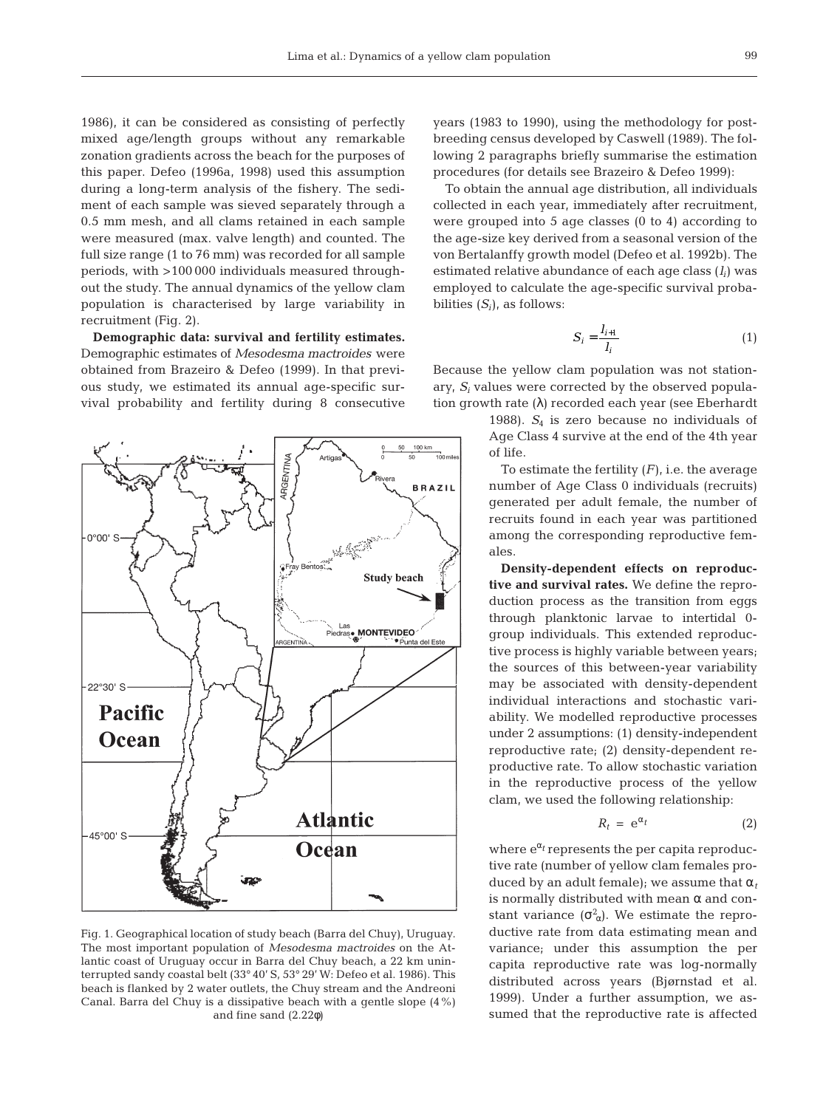1986), it can be considered as consisting of perfectly mixed age/length groups without any remarkable zonation gradients across the beach for the purposes of this paper. Defeo (1996a, 1998) used this assumption during a long-term analysis of the fishery. The sediment of each sample was sieved separately through a 0.5 mm mesh, and all clams retained in each sample were measured (max. valve length) and counted. The full size range (1 to 76 mm) was recorded for all sample periods, with >100 000 individuals measured throughout the study. The annual dynamics of the yellow clam population is characterised by large variability in recruitment (Fig. 2).

**Demographic data: survival and fertility estimates.** Demographic estimates of *Mesodesma mactroides* were obtained from Brazeiro & Defeo (1999). In that previous study, we estimated its annual age-specific survival probability and fertility during 8 consecutive



Fig. 1. Geographical location of study beach (Barra del Chuy), Uruguay. The most important population of *Mesodesma mactroides* on the Atlantic coast of Uruguay occur in Barra del Chuy beach, a 22 km uninterrupted sandy coastal belt (33° 40' S, 53° 29' W: Defeo et al. 1986). This beach is flanked by 2 water outlets, the Chuy stream and the Andreoni Canal. Barra del Chuy is a dissipative beach with a gentle slope (4%) and fine sand (2.22φ)

years (1983 to 1990), using the methodology for postbreeding census developed by Caswell (1989). The following 2 paragraphs briefly summarise the estimation procedures (for details see Brazeiro & Defeo 1999):

To obtain the annual age distribution, all individuals collected in each year, immediately after recruitment, were grouped into 5 age classes (0 to 4) according to the age-size key derived from a seasonal version of the von Bertalanffy growth model (Defeo et al. 1992b). The estimated relative abundance of each age class (*li*) was employed to calculate the age-specific survival probabilities  $(S_i)$ , as follows:

$$
S_i = \frac{l_{i+1}}{l_i} \tag{1}
$$

Because the yellow clam population was not stationary, *Si* values were corrected by the observed population growth rate (λ) recorded each year (see Eberhardt

> 1988).  $S_4$  is zero because no individuals of Age Class 4 survive at the end of the 4th year of life.

> To estimate the fertility (*F*), i.e. the average number of Age Class 0 individuals (recruits) generated per adult female, the number of recruits found in each year was partitioned among the corresponding reproductive females.

> **Density-dependent effects on reproductive and survival rates.** We define the reproduction process as the transition from eggs through planktonic larvae to intertidal 0 group individuals. This extended reproductive process is highly variable between years; the sources of this between-year variability may be associated with density-dependent individual interactions and stochastic variability. We modelled reproductive processes under 2 assumptions: (1) density-independent reproductive rate; (2) density-dependent reproductive rate. To allow stochastic variation in the reproductive process of the yellow clam, we used the following relationship:

$$
R_t = e^{\alpha_t} \tag{2}
$$

where  $e^{\alpha_t}$  represents the per capita reproductive rate (number of yellow clam females produced by an adult female); we assume that  $\alpha_t$ is normally distributed with mean  $\alpha$  and constant variance  $(\sigma_{\alpha}^2)$ . We estimate the reproductive rate from data estimating mean and variance; under this assumption the per capita reproductive rate was log-normally distributed across years (Bjørnstad et al. 1999). Under a further assumption, we assumed that the reproductive rate is affected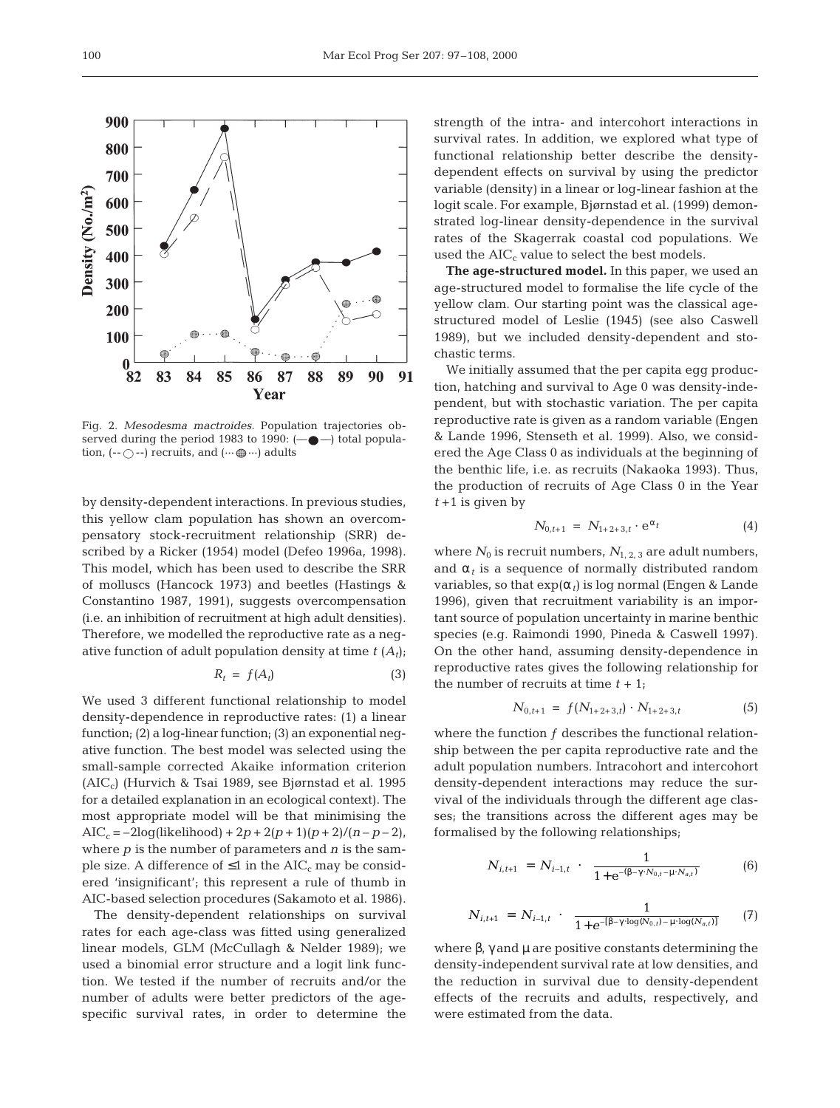Fig. 2. *Mesodesma mactroides.* Population trajectories observed during the period 1983 to 1990:  $(- \bullet -)$  total population,  $(-\bigcirc -)$  recruits, and  $(\cdots \bigcirc \cdots)$  adults

by density-dependent interactions. In previous studies, this yellow clam population has shown an overcompensatory stock-recruitment relationship (SRR) described by a Ricker (1954) model (Defeo 1996a, 1998). This model, which has been used to describe the SRR of molluscs (Hancock 1973) and beetles (Hastings & Constantino 1987, 1991), suggests overcompensation (i.e. an inhibition of recruitment at high adult densities). Therefore, we modelled the reproductive rate as a negative function of adult population density at time  $t(A_t)$ ;

$$
R_t = f(A_t) \tag{3}
$$

We used 3 different functional relationship to model density-dependence in reproductive rates: (1) a linear function; (2) a log-linear function; (3) an exponential negative function. The best model was selected using the small-sample corrected Akaike information criterion  $(AIC<sub>c</sub>)$  (Hurvich & Tsai 1989, see Bjørnstad et al. 1995 for a detailed explanation in an ecological context). The most appropriate model will be that minimising the  $AIC_c = -2log(likelihood) + 2p + 2(p + 1)(p + 2)/(n - p - 2),$ where *p* is the number of parameters and *n* is the sample size. A difference of  $\leq 1$  in the AIC<sub>c</sub> may be considered 'insignificant'; this represent a rule of thumb in AIC-based selection procedures (Sakamoto et al. 1986).

The density-dependent relationships on survival rates for each age-class was fitted using generalized linear models, GLM (McCullagh & Nelder 1989); we used a binomial error structure and a logit link function. We tested if the number of recruits and/or the number of adults were better predictors of the agespecific survival rates, in order to determine the

strength of the intra- and intercohort interactions in survival rates. In addition, we explored what type of functional relationship better describe the densitydependent effects on survival by using the predictor variable (density) in a linear or log-linear fashion at the logit scale. For example, Bjørnstad et al. (1999) demonstrated log-linear density-dependence in the survival rates of the Skagerrak coastal cod populations. We used the  $AIC<sub>c</sub>$  value to select the best models.

**The age-structured model.** In this paper, we used an age-structured model to formalise the life cycle of the yellow clam. Our starting point was the classical agestructured model of Leslie (1945) (see also Caswell 1989), but we included density-dependent and stochastic terms.

We initially assumed that the per capita egg production, hatching and survival to Age 0 was density-independent, but with stochastic variation. The per capita reproductive rate is given as a random variable (Engen & Lande 1996, Stenseth et al. 1999). Also, we considered the Age Class 0 as individuals at the beginning of the benthic life, i.e. as recruits (Nakaoka 1993). Thus, the production of recruits of Age Class 0 in the Year  $t + 1$  is given by

$$
N_{0,t+1} = N_{1+2+3,t} \cdot e^{\alpha_t} \tag{4}
$$

where  $N_0$  is recruit numbers,  $N_{1, 2, 3}$  are adult numbers, and  $\alpha_t$  is a sequence of normally distributed random variables, so that  $exp(\alpha_t)$  is log normal (Engen & Lande 1996), given that recruitment variability is an important source of population uncertainty in marine benthic species (e.g. Raimondi 1990, Pineda & Caswell 1997). On the other hand, assuming density-dependence in reproductive rates gives the following relationship for the number of recruits at time  $t + 1$ ;

$$
N_{0,t+1} = f(N_{1+2+3,t}) \cdot N_{1+2+3,t} \tag{5}
$$

where the function  $f$  describes the functional relationship between the per capita reproductive rate and the adult population numbers. Intracohort and intercohort density-dependent interactions may reduce the survival of the individuals through the different age classes; the transitions across the different ages may be formalised by the following relationships;

$$
N_{i,t+1} = N_{i-1,t} \cdot \left(\frac{1}{1 + e^{-(\beta - \gamma \cdot N_{0,t} - \mu \cdot N_{a,t})}}\right) \tag{6}
$$

$$
N_{i,t+1} = N_{i-1,t} \cdot \left(\frac{1}{1 + e^{-[\beta - \gamma \cdot \log(N_{0,t}) - \mu \cdot \log(N_{a,t})]}}\right) (7)
$$

where  $\beta$ ,  $\gamma$  and  $\mu$  are positive constants determining the density-independent survival rate at low densities, and the reduction in survival due to density-dependent effects of the recruits and adults, respectively, and were estimated from the data.

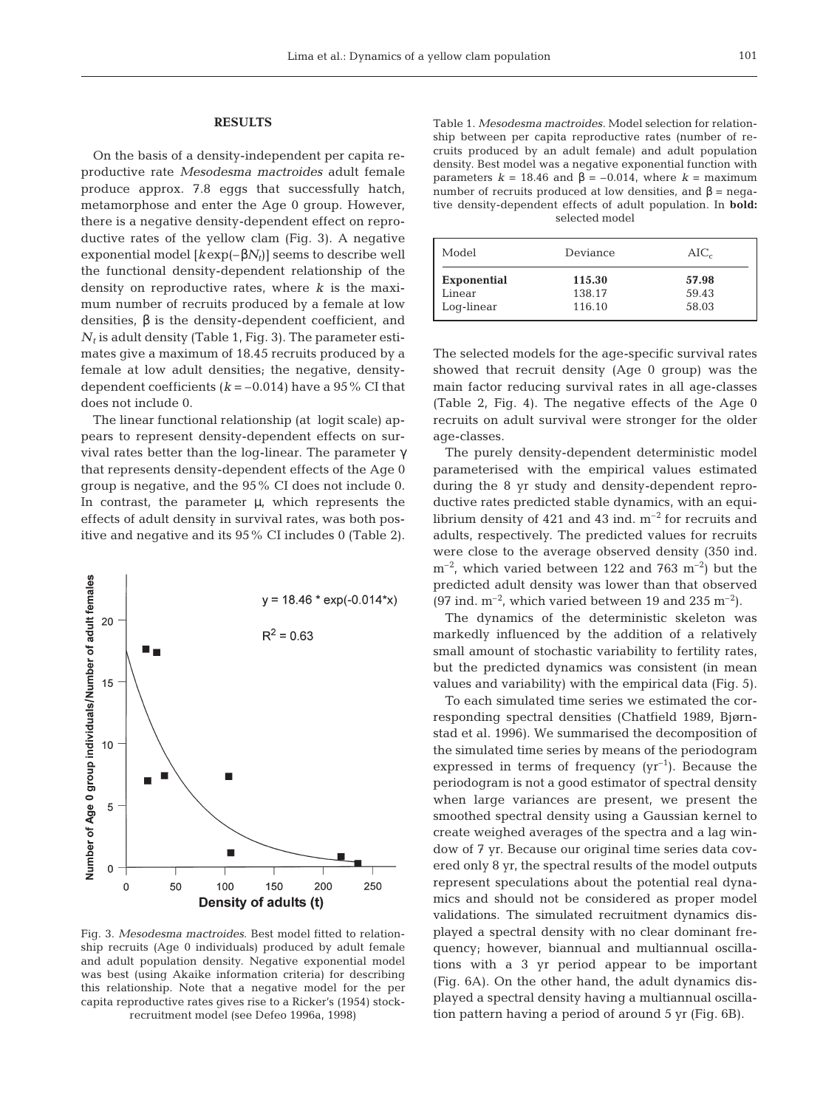## **RESULTS**

On the basis of a density-independent per capita reproductive rate *Mesodesma mactroides* adult female produce approx. 7.8 eggs that successfully hatch, metamorphose and enter the Age 0 group. However, there is a negative density-dependent effect on reproductive rates of the yellow clam (Fig. 3). A negative exponential model  $[kexp(-\beta N_t)]$  seems to describe well the functional density-dependent relationship of the density on reproductive rates, where *k* is the maximum number of recruits produced by a female at low densities,  $β$  is the density-dependent coefficient, and  $N_t$  is adult density (Table 1, Fig. 3). The parameter estimates give a maximum of 18.45 recruits produced by a female at low adult densities; the negative, densitydependent coefficients  $(k = -0.014)$  have a 95% CI that does not include 0.

The linear functional relationship (at logit scale) appears to represent density-dependent effects on survival rates better than the log-linear. The parameter γ that represents density-dependent effects of the Age 0 group is negative, and the 95% CI does not include 0. In contrast, the parameter  $\mu$ , which represents the effects of adult density in survival rates, was both positive and negative and its 95% CI includes 0 (Table 2).



Fig. 3. *Mesodesma mactroides*. Best model fitted to relationship recruits (Age 0 individuals) produced by adult female and adult population density. Negative exponential model was best (using Akaike information criteria) for describing this relationship. Note that a negative model for the per capita reproductive rates gives rise to a Ricker's (1954) stockrecruitment model (see Defeo 1996a, 1998)

Table 1. *Mesodesma mactroides.* Model selection for relationship between per capita reproductive rates (number of recruits produced by an adult female) and adult population density. Best model was a negative exponential function with parameters *k* = 18.46 and β = –0.014, where *k* = maximum number of recruits produced at low densities, and  $β = nega$ tive density-dependent effects of adult population. In **bold:** selected model

| Model              | Deviance | $AIC_c$ |
|--------------------|----------|---------|
| <b>Exponential</b> | 115.30   | 57.98   |
| Linear             | 138.17   | 59.43   |
| Log-linear         | 116.10   | 58.03   |

The selected models for the age-specific survival rates showed that recruit density (Age 0 group) was the main factor reducing survival rates in all age-classes (Table 2, Fig. 4). The negative effects of the Age 0 recruits on adult survival were stronger for the older age-classes.

The purely density-dependent deterministic model parameterised with the empirical values estimated during the 8 yr study and density-dependent reproductive rates predicted stable dynamics, with an equilibrium density of 421 and 43 ind.  $m^{-2}$  for recruits and adults, respectively. The predicted values for recruits were close to the average observed density (350 ind.  $\rm m^{-2}$ , which varied between 122 and 763  $\rm m^{-2}$ ) but the predicted adult density was lower than that observed (97 ind.  $m^{-2}$ , which varied between 19 and 235  $m^{-2}$ ).

The dynamics of the deterministic skeleton was markedly influenced by the addition of a relatively small amount of stochastic variability to fertility rates, but the predicted dynamics was consistent (in mean values and variability) with the empirical data (Fig. 5).

To each simulated time series we estimated the corresponding spectral densities (Chatfield 1989, Bjørnstad et al. 1996). We summarised the decomposition of the simulated time series by means of the periodogram expressed in terms of frequency  $(yr^{-1})$ . Because the periodogram is not a good estimator of spectral density when large variances are present, we present the smoothed spectral density using a Gaussian kernel to create weighed averages of the spectra and a lag window of 7 yr. Because our original time series data covered only 8 yr, the spectral results of the model outputs represent speculations about the potential real dynamics and should not be considered as proper model validations. The simulated recruitment dynamics displayed a spectral density with no clear dominant frequency; however, biannual and multiannual oscillations with a 3 yr period appear to be important (Fig. 6A). On the other hand, the adult dynamics displayed a spectral density having a multiannual oscillation pattern having a period of around 5 yr (Fig. 6B).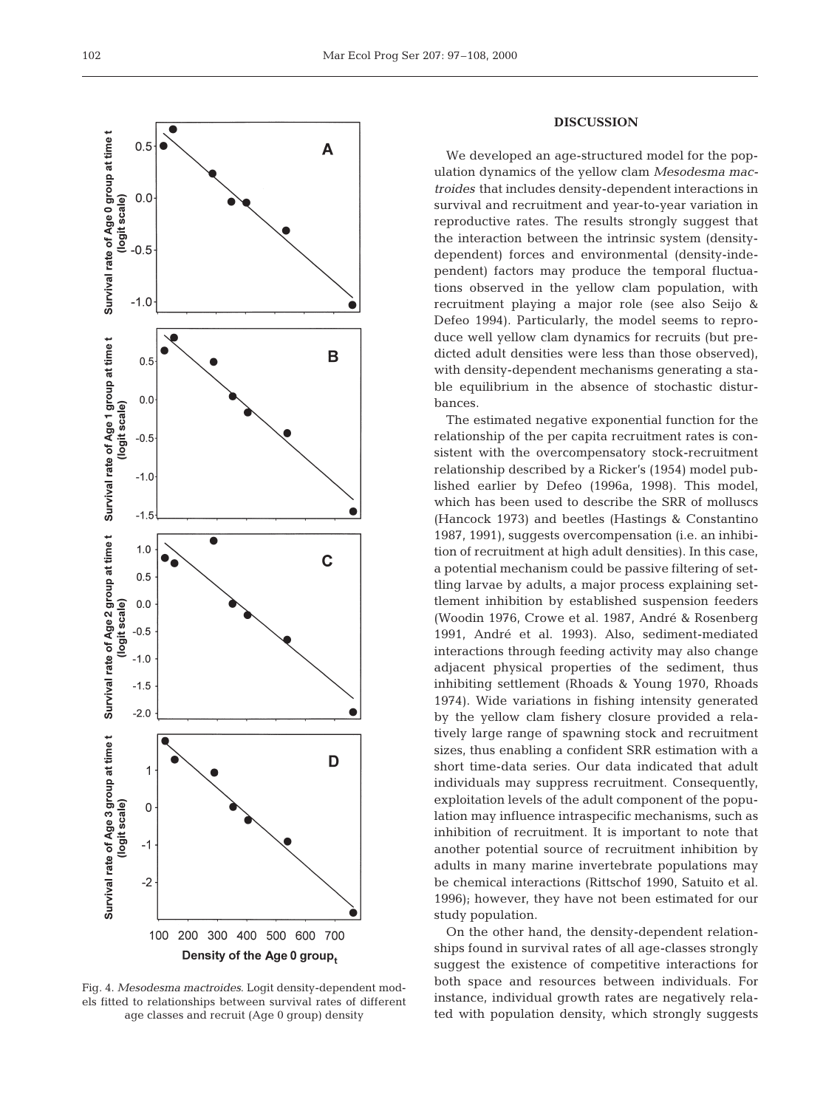

Fig. 4. *Mesodesma mactroides*. Logit density-dependent models fitted to relationships between survival rates of different age classes and recruit (Age 0 group) density

# **DISCUSSION**

We developed an age-structured model for the population dynamics of the yellow clam *Mesodesma mactroides* that includes density-dependent interactions in survival and recruitment and year-to-year variation in reproductive rates. The results strongly suggest that the interaction between the intrinsic system (densitydependent) forces and environmental (density-independent) factors may produce the temporal fluctuations observed in the yellow clam population, with recruitment playing a major role (see also Seijo & Defeo 1994). Particularly, the model seems to reproduce well yellow clam dynamics for recruits (but predicted adult densities were less than those observed), with density-dependent mechanisms generating a stable equilibrium in the absence of stochastic disturbances.

The estimated negative exponential function for the relationship of the per capita recruitment rates is consistent with the overcompensatory stock-recruitment relationship described by a Ricker's (1954) model published earlier by Defeo (1996a, 1998). This model, which has been used to describe the SRR of molluscs (Hancock 1973) and beetles (Hastings & Constantino 1987, 1991), suggests overcompensation (i.e. an inhibition of recruitment at high adult densities). In this case, a potential mechanism could be passive filtering of settling larvae by adults, a major process explaining settlement inhibition by established suspension feeders (Woodin 1976, Crowe et al. 1987, André & Rosenberg 1991, André et al. 1993). Also, sediment-mediated interactions through feeding activity may also change adjacent physical properties of the sediment, thus inhibiting settlement (Rhoads & Young 1970, Rhoads 1974). Wide variations in fishing intensity generated by the yellow clam fishery closure provided a relatively large range of spawning stock and recruitment sizes, thus enabling a confident SRR estimation with a short time-data series. Our data indicated that adult individuals may suppress recruitment. Consequently, exploitation levels of the adult component of the population may influence intraspecific mechanisms, such as inhibition of recruitment. It is important to note that another potential source of recruitment inhibition by adults in many marine invertebrate populations may be chemical interactions (Rittschof 1990, Satuito et al. 1996); however, they have not been estimated for our study population.

On the other hand, the density-dependent relationships found in survival rates of all age-classes strongly suggest the existence of competitive interactions for both space and resources between individuals. For instance, individual growth rates are negatively related with population density, which strongly suggests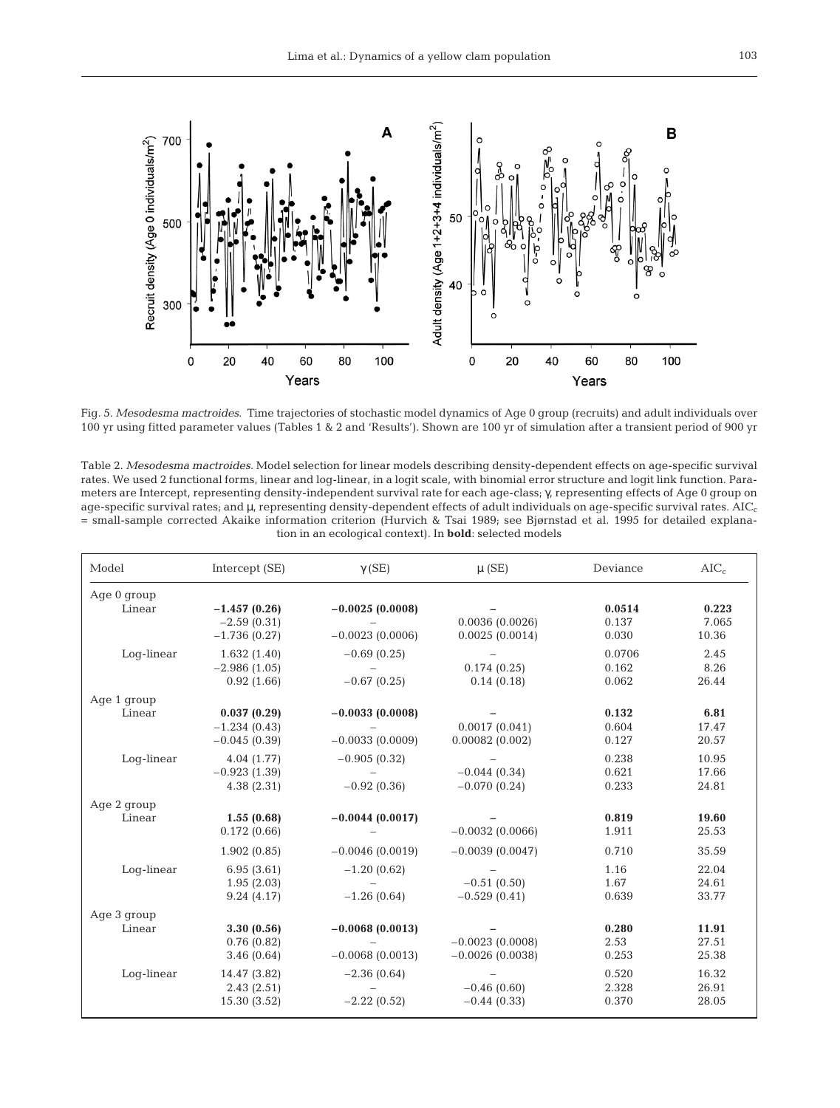

Fig. 5. *Mesodesma mactroides*. Time trajectories of stochastic model dynamics of Age 0 group (recruits) and adult individuals over 100 yr using fitted parameter values (Tables 1 & 2 and 'Results'). Shown are 100 yr of simulation after a transient period of 900 yr

Table 2. *Mesodesma mactroides.* Model selection for linear models describing density-dependent effects on age-specific survival rates. We used 2 functional forms, linear and log-linear, in a logit scale, with binomial error structure and logit link function. Parameters are Intercept, representing density-independent survival rate for each age-class; γ, representing effects of Age 0 group on age-specific survival rates; and  $\mu$ , representing density-dependent effects of adult individuals on age-specific survival rates. AIC<sub>c</sub> = small-sample corrected Akaike information criterion (Hurvich & Tsai 1989; see Bjørnstad et al. 1995 for detailed explanation in an ecological context). In **bold**: selected models

| Model       | Intercept (SE)                                    | $\gamma$ (SE)                          | $\mu$ (SE)                             | Deviance                 | $AIC_c$                 |
|-------------|---------------------------------------------------|----------------------------------------|----------------------------------------|--------------------------|-------------------------|
| Age 0 group |                                                   |                                        |                                        |                          |                         |
| Linear      | $-1.457(0.26)$<br>$-2.59(0.31)$<br>$-1.736(0.27)$ | $-0.0025(0.0008)$<br>$-0.0023(0.0006)$ | 0.0036(0.0026)<br>0.0025(0.0014)       | 0.0514<br>0.137<br>0.030 | 0.223<br>7.065<br>10.36 |
| Log-linear  | 1.632(1.40)<br>$-2.986(1.05)$<br>0.92(1.66)       | $-0.69(0.25)$<br>$-0.67(0.25)$         | 0.174(0.25)<br>0.14(0.18)              | 0.0706<br>0.162<br>0.062 | 2.45<br>8.26<br>26.44   |
| Age 1 group |                                                   |                                        |                                        |                          |                         |
| Linear      | 0.037(0.29)<br>$-1.234(0.43)$<br>$-0.045(0.39)$   | $-0.0033(0.0008)$<br>$-0.0033(0.0009)$ | 0.0017(0.041)<br>0.00082(0.002)        | 0.132<br>0.604<br>0.127  | 6.81<br>17.47<br>20.57  |
| Log-linear  | 4.04 (1.77)<br>$-0.923(1.39)$<br>4.38(2.31)       | $-0.905(0.32)$<br>$-0.92(0.36)$        | $-0.044(0.34)$<br>$-0.070(0.24)$       | 0.238<br>0.621<br>0.233  | 10.95<br>17.66<br>24.81 |
| Age 2 group |                                                   |                                        |                                        |                          |                         |
| Linear      | 1.55(0.68)<br>0.172(0.66)                         | $-0.0044(0.0017)$                      | $-0.0032(0.0066)$                      | 0.819<br>1.911           | 19.60<br>25.53          |
|             | 1.902(0.85)                                       | $-0.0046(0.0019)$                      | $-0.0039(0.0047)$                      | 0.710                    | 35.59                   |
| Log-linear  | 6.95(3.61)<br>1.95(2.03)<br>9.24(4.17)            | $-1.20(0.62)$<br>$-1.26(0.64)$         | $-0.51(0.50)$<br>$-0.529(0.41)$        | 1.16<br>1.67<br>0.639    | 22.04<br>24.61<br>33.77 |
| Age 3 group |                                                   |                                        |                                        |                          |                         |
| Linear      | 3.30(0.56)<br>0.76(0.82)<br>3.46(0.64)            | $-0.0068(0.0013)$<br>$-0.0068(0.0013)$ | $-0.0023(0.0008)$<br>$-0.0026(0.0038)$ | 0.280<br>2.53<br>0.253   | 11.91<br>27.51<br>25.38 |
| Log-linear  | 14.47 (3.82)<br>2.43(2.51)<br>15.30 (3.52)        | $-2.36(0.64)$<br>$-2.22(0.52)$         | $-0.46(0.60)$<br>$-0.44(0.33)$         | 0.520<br>2.328<br>0.370  | 16.32<br>26.91<br>28.05 |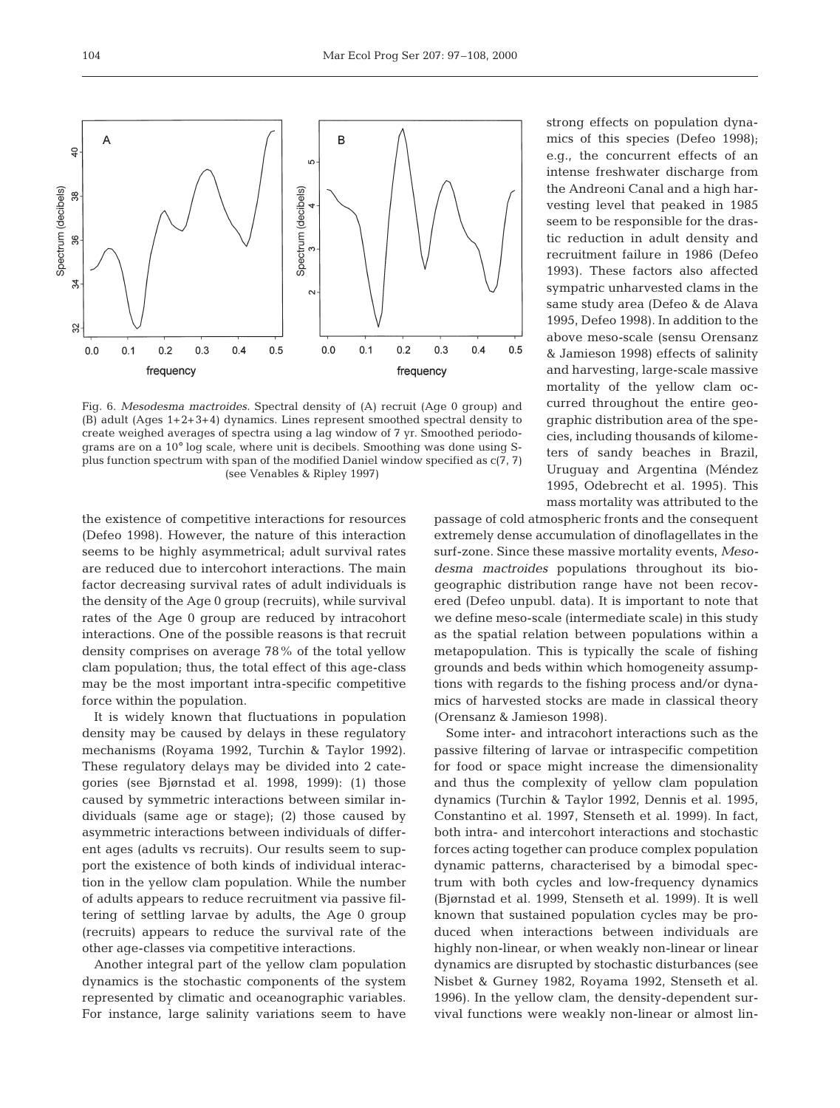

Fig. 6. *Mesodesma mactroides*. Spectral density of (A) recruit (Age 0 group) and (B) adult (Ages 1+2+3+4) dynamics. Lines represent smoothed spectral density to create weighed averages of spectra using a lag window of 7 yr. Smoothed periodograms are on a 10° log scale, where unit is decibels. Smoothing was done using Splus function spectrum with span of the modified Daniel window specified as c(7, 7) (see Venables & Ripley 1997)

the existence of competitive interactions for resources (Defeo 1998). However, the nature of this interaction seems to be highly asymmetrical; adult survival rates are reduced due to intercohort interactions. The main factor decreasing survival rates of adult individuals is the density of the Age 0 group (recruits), while survival rates of the Age 0 group are reduced by intracohort interactions. One of the possible reasons is that recruit density comprises on average 78% of the total yellow clam population; thus, the total effect of this age-class may be the most important intra-specific competitive force within the population.

It is widely known that fluctuations in population density may be caused by delays in these regulatory mechanisms (Royama 1992, Turchin & Taylor 1992). These regulatory delays may be divided into 2 categories (see Bjørnstad et al. 1998, 1999): (1) those caused by symmetric interactions between similar individuals (same age or stage); (2) those caused by asymmetric interactions between individuals of different ages (adults vs recruits). Our results seem to support the existence of both kinds of individual interaction in the yellow clam population. While the number of adults appears to reduce recruitment via passive filtering of settling larvae by adults, the Age 0 group (recruits) appears to reduce the survival rate of the other age-classes via competitive interactions.

Another integral part of the yellow clam population dynamics is the stochastic components of the system represented by climatic and oceanographic variables. For instance, large salinity variations seem to have strong effects on population dynamics of this species (Defeo 1998); e.g., the concurrent effects of an intense freshwater discharge from the Andreoni Canal and a high harvesting level that peaked in 1985 seem to be responsible for the drastic reduction in adult density and recruitment failure in 1986 (Defeo 1993). These factors also affected sympatric unharvested clams in the same study area (Defeo & de Alava 1995, Defeo 1998). In addition to the above meso-scale (sensu Orensanz & Jamieson 1998) effects of salinity and harvesting, large-scale massive mortality of the yellow clam occurred throughout the entire geographic distribution area of the species, including thousands of kilometers of sandy beaches in Brazil, Uruguay and Argentina (Méndez 1995, Odebrecht et al. 1995). This mass mortality was attributed to the

passage of cold atmospheric fronts and the consequent extremely dense accumulation of dinoflagellates in the surf-zone. Since these massive mortality events, *Mesodesma mactroides* populations throughout its biogeographic distribution range have not been recovered (Defeo unpubl. data). It is important to note that we define meso-scale (intermediate scale) in this study as the spatial relation between populations within a metapopulation. This is typically the scale of fishing grounds and beds within which homogeneity assumptions with regards to the fishing process and/or dynamics of harvested stocks are made in classical theory (Orensanz & Jamieson 1998).

Some inter- and intracohort interactions such as the passive filtering of larvae or intraspecific competition for food or space might increase the dimensionality and thus the complexity of yellow clam population dynamics (Turchin & Taylor 1992, Dennis et al. 1995, Constantino et al. 1997, Stenseth et al. 1999). In fact, both intra- and intercohort interactions and stochastic forces acting together can produce complex population dynamic patterns, characterised by a bimodal spectrum with both cycles and low-frequency dynamics (Bjørnstad et al. 1999, Stenseth et al. 1999). It is well known that sustained population cycles may be produced when interactions between individuals are highly non-linear, or when weakly non-linear or linear dynamics are disrupted by stochastic disturbances (see Nisbet & Gurney 1982, Royama 1992, Stenseth et al. 1996). In the yellow clam, the density-dependent survival functions were weakly non-linear or almost lin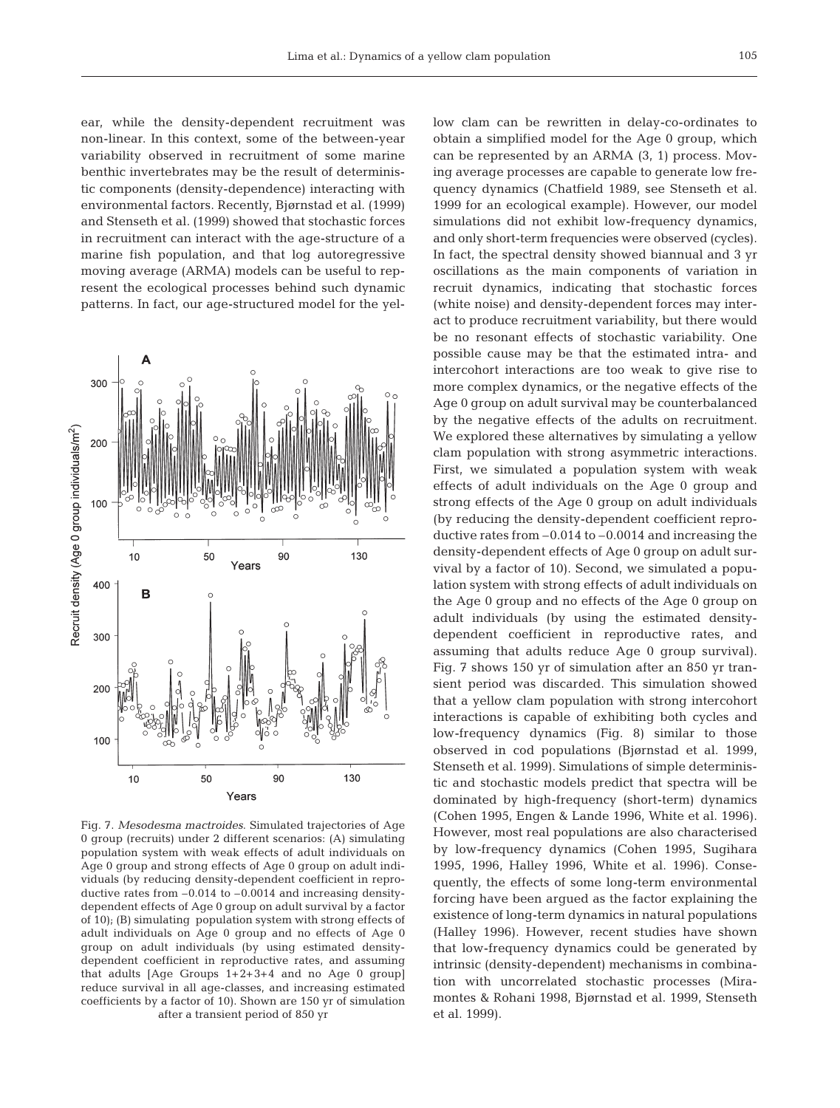ear, while the density-dependent recruitment was non-linear. In this context, some of the between-year variability observed in recruitment of some marine benthic invertebrates may be the result of deterministic components (density-dependence) interacting with environmental factors. Recently, Bjørnstad et al. (1999) and Stenseth et al. (1999) showed that stochastic forces in recruitment can interact with the age-structure of a marine fish population, and that log autoregressive moving average (ARMA) models can be useful to represent the ecological processes behind such dynamic patterns. In fact, our age-structured model for the yel-



Fig. 7. *Mesodesma mactroides*. Simulated trajectories of Age 0 group (recruits) under 2 different scenarios: (A) simulating population system with weak effects of adult individuals on Age 0 group and strong effects of Age 0 group on adult individuals (by reducing density-dependent coefficient in reproductive rates from –0.014 to –0.0014 and increasing densitydependent effects of Age 0 group on adult survival by a factor of 10); (B) simulating population system with strong effects of adult individuals on Age 0 group and no effects of Age 0 group on adult individuals (by using estimated densitydependent coefficient in reproductive rates, and assuming that adults [Age Groups 1+2+3+4 and no Age 0 group] reduce survival in all age-classes, and increasing estimated coefficients by a factor of 10). Shown are 150 yr of simulation after a transient period of 850 yr

low clam can be rewritten in delay-co-ordinates to obtain a simplified model for the Age 0 group, which can be represented by an ARMA (3, 1) process. Moving average processes are capable to generate low frequency dynamics (Chatfield 1989, see Stenseth et al. 1999 for an ecological example). However, our model simulations did not exhibit low-frequency dynamics, and only short-term frequencies were observed (cycles). In fact, the spectral density showed biannual and 3 yr oscillations as the main components of variation in recruit dynamics, indicating that stochastic forces (white noise) and density-dependent forces may interact to produce recruitment variability, but there would be no resonant effects of stochastic variability. One possible cause may be that the estimated intra- and intercohort interactions are too weak to give rise to more complex dynamics, or the negative effects of the Age 0 group on adult survival may be counterbalanced by the negative effects of the adults on recruitment. We explored these alternatives by simulating a yellow clam population with strong asymmetric interactions. First, we simulated a population system with weak effects of adult individuals on the Age 0 group and strong effects of the Age 0 group on adult individuals (by reducing the density-dependent coefficient reproductive rates from –0.014 to –0.0014 and increasing the density-dependent effects of Age 0 group on adult survival by a factor of 10). Second, we simulated a population system with strong effects of adult individuals on the Age 0 group and no effects of the Age 0 group on adult individuals (by using the estimated densitydependent coefficient in reproductive rates, and assuming that adults reduce Age 0 group survival). Fig. 7 shows 150 yr of simulation after an 850 yr transient period was discarded. This simulation showed that a yellow clam population with strong intercohort interactions is capable of exhibiting both cycles and low-frequency dynamics (Fig. 8) similar to those observed in cod populations (Bjørnstad et al. 1999, Stenseth et al. 1999). Simulations of simple deterministic and stochastic models predict that spectra will be dominated by high-frequency (short-term) dynamics (Cohen 1995, Engen & Lande 1996, White et al. 1996). However, most real populations are also characterised by low-frequency dynamics (Cohen 1995, Sugihara 1995, 1996, Halley 1996, White et al. 1996). Consequently, the effects of some long-term environmental forcing have been argued as the factor explaining the existence of long-term dynamics in natural populations (Halley 1996). However, recent studies have shown that low-frequency dynamics could be generated by intrinsic (density-dependent) mechanisms in combination with uncorrelated stochastic processes (Miramontes & Rohani 1998, Bjørnstad et al. 1999, Stenseth et al. 1999).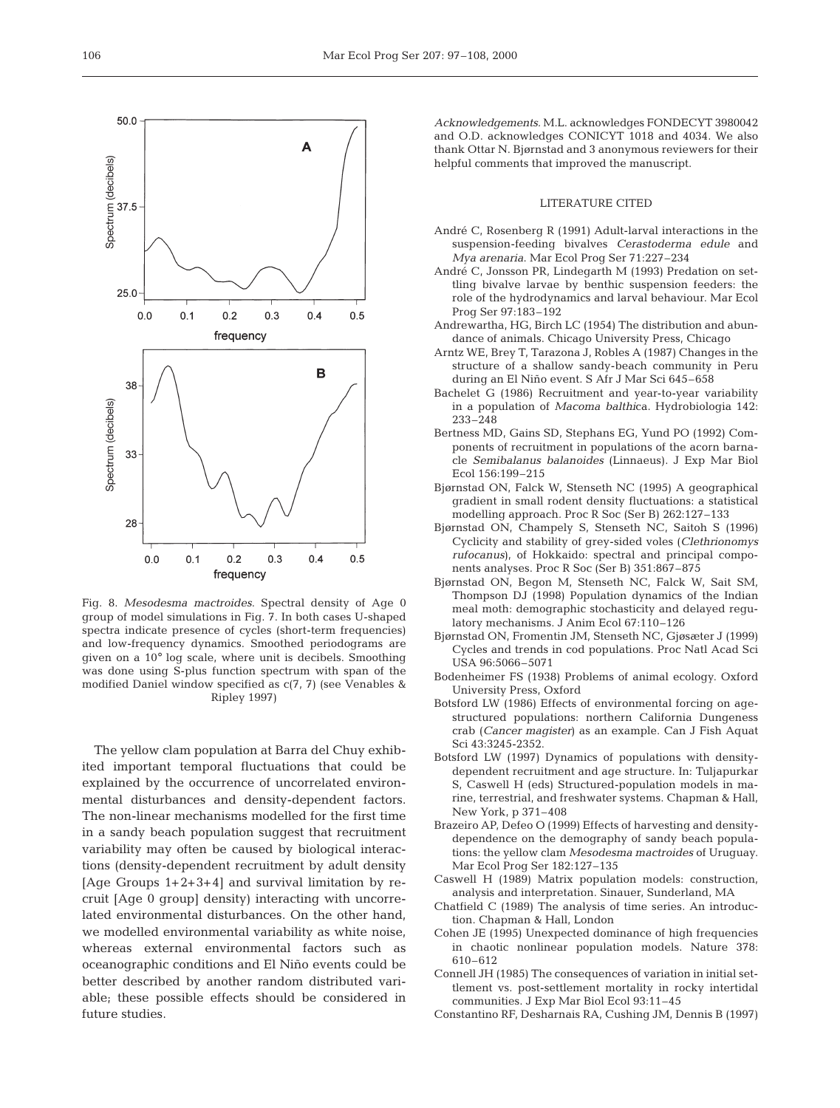

Fig. 8. *Mesodesma mactroides*. Spectral density of Age 0 group of model simulations in Fig. 7. In both cases U-shaped spectra indicate presence of cycles (short-term frequencies) and low-frequency dynamics. Smoothed periodograms are given on a 10° log scale, where unit is decibels. Smoothing was done using S-plus function spectrum with span of the modified Daniel window specified as c(7, 7) (see Venables & Ripley 1997)

The yellow clam population at Barra del Chuy exhibited important temporal fluctuations that could be explained by the occurrence of uncorrelated environmental disturbances and density-dependent factors. The non-linear mechanisms modelled for the first time in a sandy beach population suggest that recruitment variability may often be caused by biological interactions (density-dependent recruitment by adult density [Age Groups 1+2+3+4] and survival limitation by recruit [Age 0 group] density) interacting with uncorrelated environmental disturbances. On the other hand, we modelled environmental variability as white noise, whereas external environmental factors such as oceanographic conditions and El Niño events could be better described by another random distributed variable; these possible effects should be considered in future studies.

*Acknowledgements.* M.L. acknowledges FONDECYT 3980042 and O.D. acknowledges CONICYT 1018 and 4034. We also thank Ottar N. Bjørnstad and 3 anonymous reviewers for their helpful comments that improved the manuscript.

#### LITERATURE CITED

- André C, Rosenberg R (1991) Adult-larval interactions in the suspension-feeding bivalves *Cerastoderma edule* and *Mya arenaria*. Mar Ecol Prog Ser 71:227–234
- André C, Jonsson PR, Lindegarth M (1993) Predation on settling bivalve larvae by benthic suspension feeders: the role of the hydrodynamics and larval behaviour. Mar Ecol Prog Ser 97:183–192
- Andrewartha, HG, Birch LC (1954) The distribution and abundance of animals. Chicago University Press, Chicago
- Arntz WE, Brey T, Tarazona J, Robles A (1987) Changes in the structure of a shallow sandy-beach community in Peru during an El Niño event. S Afr J Mar Sci 645–658
- Bachelet G (1986) Recruitment and year-to-year variability in a population of *Macoma balthi*ca. Hydrobiologia 142: 233–248
- Bertness MD, Gains SD, Stephans EG, Yund PO (1992) Components of recruitment in populations of the acorn barnacle *Semibalanus balanoides* (Linnaeus). J Exp Mar Biol Ecol 156:199–215
- Bjørnstad ON, Falck W, Stenseth NC (1995) A geographical gradient in small rodent density fluctuations: a statistical modelling approach*.* Proc R Soc (Ser B) 262:127–133
- Bjørnstad ON, Champely S, Stenseth NC, Saitoh S (1996) Cyclicity and stability of grey-sided voles (*Clethrionomys rufocanus*), of Hokkaido: spectral and principal components analyses. Proc R Soc (Ser B) 351:867–875
- Bjørnstad ON, Begon M, Stenseth NC, Falck W, Sait SM, Thompson DJ (1998) Population dynamics of the Indian meal moth: demographic stochasticity and delayed regulatory mechanisms. J Anim Ecol 67:110–126
- Bjørnstad ON, Fromentin JM, Stenseth NC, Gjøsæter J (1999) Cycles and trends in cod populations. Proc Natl Acad Sci USA 96:5066–5071
- Bodenheimer FS (1938) Problems of animal ecology. Oxford University Press, Oxford
- Botsford LW (1986) Effects of environmental forcing on agestructured populations: northern California Dungeness crab (*Cancer magister*) as an example. Can J Fish Aquat Sci 43:3245-2352.
- Botsford LW (1997) Dynamics of populations with densitydependent recruitment and age structure. In: Tuljapurkar S, Caswell H (eds) Structured-population models in marine, terrestrial, and freshwater systems. Chapman & Hall, New York, p 371–408
- Brazeiro AP, Defeo O (1999) Effects of harvesting and densitydependence on the demography of sandy beach populations: the yellow clam *Mesodesma mactroides* of Uruguay. Mar Ecol Prog Ser 182:127–135
- Caswell H (1989) Matrix population models: construction, analysis and interpretation. Sinauer, Sunderland, MA
- Chatfield C (1989) The analysis of time series. An introduction. Chapman & Hall, London
- Cohen JE (1995) Unexpected dominance of high frequencies in chaotic nonlinear population models. Nature 378: 610–612
- Connell JH (1985) The consequences of variation in initial settlement vs. post-settlement mortality in rocky intertidal communities. J Exp Mar Biol Ecol 93:11–45
- Constantino RF, Desharnais RA, Cushing JM, Dennis B (1997)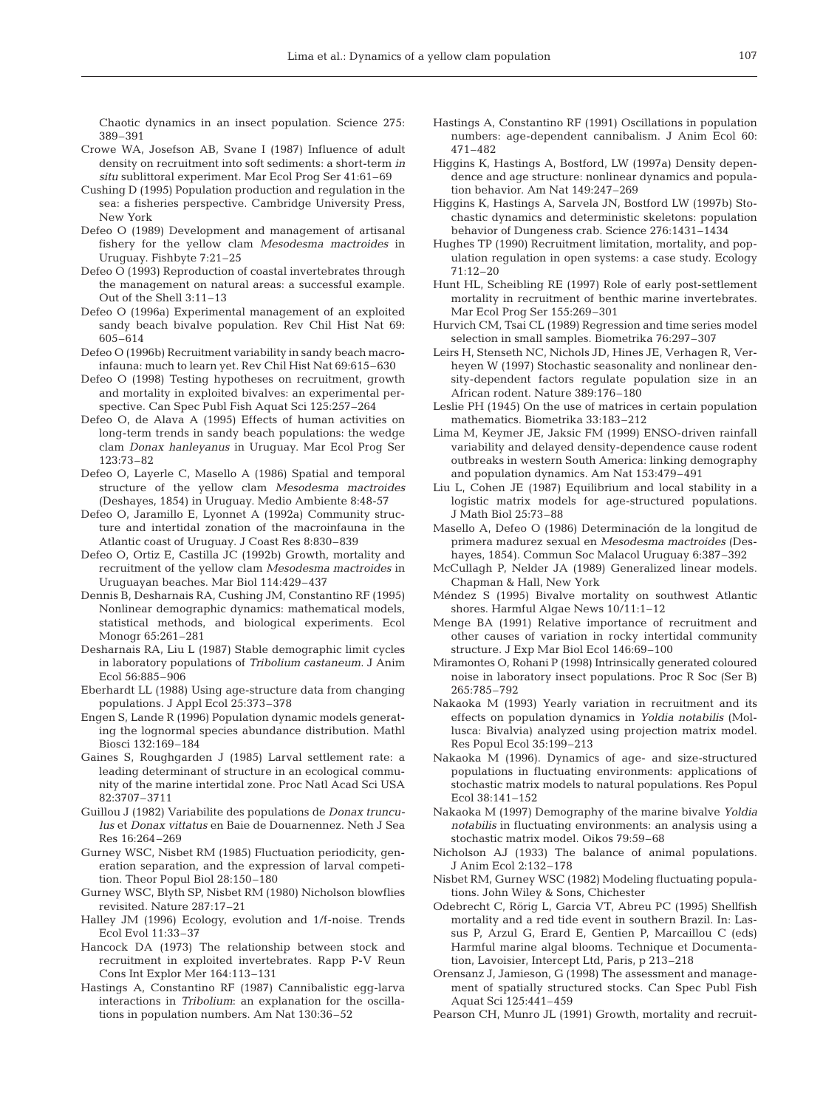Chaotic dynamics in an insect population. Science 275: 389–391

- Crowe WA, Josefson AB, Svane I (1987) Influence of adult density on recruitment into soft sediments: a short-term *in situ* sublittoral experiment*.* Mar Ecol Prog Ser 41:61–69
- Cushing D (1995) Population production and regulation in the sea: a fisheries perspective. Cambridge University Press, New York
- Defeo O (1989) Development and management of artisanal fishery for the yellow clam *Mesodesma mactroides* in Uruguay. Fishbyte 7:21–25
- Defeo O (1993) Reproduction of coastal invertebrates through the management on natural areas: a successful example. Out of the Shell 3:11–13
- Defeo O (1996a) Experimental management of an exploited sandy beach bivalve population*.* Rev Chil Hist Nat 69: 605–614
- Defeo O (1996b) Recruitment variability in sandy beach macroinfauna: much to learn yet. Rev Chil Hist Nat 69:615–630
- Defeo O (1998) Testing hypotheses on recruitment, growth and mortality in exploited bivalves: an experimental perspective. Can Spec Publ Fish Aquat Sci 125:257–264
- Defeo O, de Alava A (1995) Effects of human activities on long-term trends in sandy beach populations: the wedge clam *Donax hanleyanus* in Uruguay. Mar Ecol Prog Ser 123:73–82
- Defeo O, Layerle C, Masello A (1986) Spatial and temporal structure of the yellow clam *Mesodesma mactroides* (Deshayes, 1854) in Uruguay. Medio Ambiente 8:48-57
- Defeo O, Jaramillo E, Lyonnet A (1992a) Community structure and intertidal zonation of the macroinfauna in the Atlantic coast of Uruguay. J Coast Res 8:830–839
- Defeo O, Ortiz E, Castilla JC (1992b) Growth, mortality and recruitment of the yellow clam *Mesodesma mactroides* in Uruguayan beaches. Mar Biol 114:429–437
- Dennis B, Desharnais RA, Cushing JM, Constantino RF (1995) Nonlinear demographic dynamics: mathematical models, statistical methods, and biological experiments. Ecol Monogr 65:261–281
- Desharnais RA, Liu L (1987) Stable demographic limit cycles in laboratory populations of *Tribolium castaneum*. J Anim Ecol 56:885–906
- Eberhardt LL (1988) Using age-structure data from changing populations. J Appl Ecol 25:373–378
- Engen S, Lande R (1996) Population dynamic models generating the lognormal species abundance distribution. Mathl Biosci 132:169–184
- Gaines S, Roughgarden J (1985) Larval settlement rate: a leading determinant of structure in an ecological community of the marine intertidal zone. Proc Natl Acad Sci USA 82:3707–3711
- Guillou J (1982) Variabilite des populations de *Donax trunculus* et *Donax vittatus* en Baie de Douarnennez. Neth J Sea Res 16:264–269
- Gurney WSC, Nisbet RM (1985) Fluctuation periodicity, generation separation, and the expression of larval competition. Theor Popul Biol 28:150–180
- Gurney WSC, Blyth SP, Nisbet RM (1980) Nicholson blowflies revisited. Nature 287:17–21
- Halley JM (1996) Ecology, evolution and 1/f-noise. Trends Ecol Evol 11:33–37
- Hancock DA (1973) The relationship between stock and recruitment in exploited invertebrates. Rapp P-V Reun Cons Int Explor Mer 164:113–131
- Hastings A, Constantino RF (1987) Cannibalistic egg-larva interactions in *Tribolium*: an explanation for the oscillations in population numbers. Am Nat 130:36–52
- Hastings A, Constantino RF (1991) Oscillations in population numbers: age-dependent cannibalism. J Anim Ecol 60: 471–482
- Higgins K, Hastings A, Bostford, LW (1997a) Density dependence and age structure: nonlinear dynamics and population behavior. Am Nat 149:247–269
- Higgins K, Hastings A, Sarvela JN, Bostford LW (1997b) Stochastic dynamics and deterministic skeletons: population behavior of Dungeness crab. Science 276:1431–1434
- Hughes TP (1990) Recruitment limitation, mortality, and population regulation in open systems: a case study. Ecology 71:12–20
- Hunt HL, Scheibling RE (1997) Role of early post-settlement mortality in recruitment of benthic marine invertebrates. Mar Ecol Prog Ser 155:269–301
- Hurvich CM, Tsai CL (1989) Regression and time series model selection in small samples. Biometrika 76:297–307
- Leirs H, Stenseth NC, Nichols JD, Hines JE, Verhagen R, Verheyen W (1997) Stochastic seasonality and nonlinear density-dependent factors regulate population size in an African rodent. Nature 389:176–180
- Leslie PH (1945) On the use of matrices in certain population mathematics. Biometrika 33:183–212
- Lima M, Keymer JE, Jaksic FM (1999) ENSO-driven rainfall variability and delayed density-dependence cause rodent outbreaks in western South America: linking demography and population dynamics. Am Nat 153:479–491
- Liu L, Cohen JE (1987) Equilibrium and local stability in a logistic matrix models for age-structured populations. J Math Biol 25:73–88
- Masello A, Defeo O (1986) Determinación de la longitud de primera madurez sexual en *Mesodesma mactroides* (Deshayes, 1854). Commun Soc Malacol Uruguay 6:387–392
- McCullagh P, Nelder JA (1989) Generalized linear models. Chapman & Hall, New York
- Méndez S (1995) Bivalve mortality on southwest Atlantic shores. Harmful Algae News 10/11:1–12
- Menge BA (1991) Relative importance of recruitment and other causes of variation in rocky intertidal community structure. J Exp Mar Biol Ecol 146:69–100
- Miramontes O, Rohani P (1998) Intrinsically generated coloured noise in laboratory insect populations. Proc R Soc (Ser B) 265:785–792
- Nakaoka M (1993) Yearly variation in recruitment and its effects on population dynamics in *Yoldia notabilis* (Mollusca: Bivalvia) analyzed using projection matrix model. Res Popul Ecol 35:199–213
- Nakaoka M (1996). Dynamics of age- and size-structured populations in fluctuating environments: applications of stochastic matrix models to natural populations*.* Res Popul Ecol 38:141–152
- Nakaoka M (1997) Demography of the marine bivalve *Yoldia notabilis* in fluctuating environments: an analysis using a stochastic matrix model. Oikos 79:59–68
- Nicholson AJ (1933) The balance of animal populations. J Anim Ecol 2:132–178
- Nisbet RM, Gurney WSC (1982) Modeling fluctuating populations. John Wiley & Sons, Chichester
- Odebrecht C, Rörig L, Garcia VT, Abreu PC (1995) Shellfish mortality and a red tide event in southern Brazil. In: Lassus P, Arzul G, Erard E, Gentien P, Marcaillou C (eds) Harmful marine algal blooms. Technique et Documentation, Lavoisier, Intercept Ltd, Paris, p 213–218
- Orensanz J, Jamieson, G (1998) The assessment and management of spatially structured stocks. Can Spec Publ Fish Aquat Sci 125:441–459
- Pearson CH, Munro JL (1991) Growth, mortality and recruit-